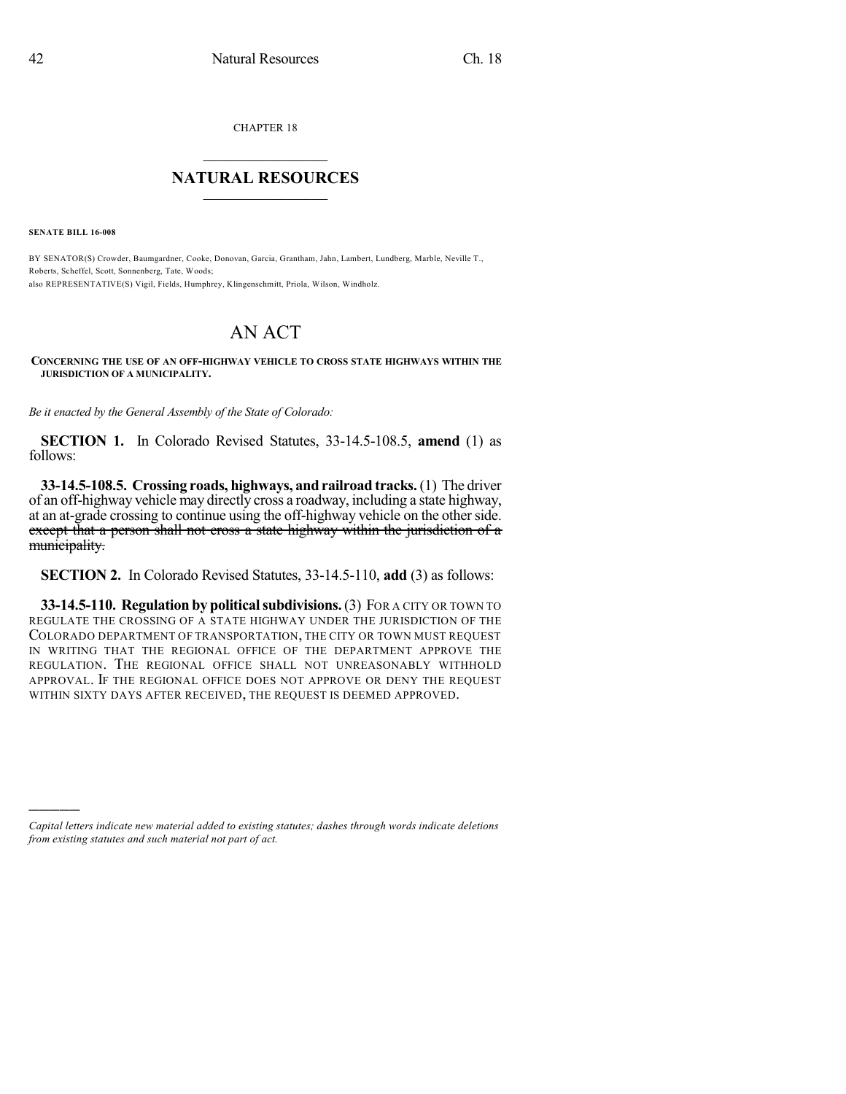CHAPTER 18  $\overline{\phantom{a}}$  . The set of the set of the set of the set of the set of the set of the set of the set of the set of the set of the set of the set of the set of the set of the set of the set of the set of the set of the set o

## **NATURAL RESOURCES**  $\frac{1}{\sqrt{2}}$  , where  $\frac{1}{\sqrt{2}}$  ,  $\frac{1}{\sqrt{2}}$  ,  $\frac{1}{\sqrt{2}}$

**SENATE BILL 16-008**

)))))

BY SENATOR(S) Crowder, Baumgardner, Cooke, Donovan, Garcia, Grantham, Jahn, Lambert, Lundberg, Marble, Neville T., Roberts, Scheffel, Scott, Sonnenberg, Tate, Woods; also REPRESENTATIVE(S) Vigil, Fields, Humphrey, Klingenschmitt, Priola, Wilson, Windholz.

## AN ACT

**CONCERNING THE USE OF AN OFF-HIGHWAY VEHICLE TO CROSS STATE HIGHWAYS WITHIN THE JURISDICTION OF A MUNICIPALITY.**

*Be it enacted by the General Assembly of the State of Colorado:*

**SECTION 1.** In Colorado Revised Statutes, 33-14.5-108.5, **amend** (1) as follows:

**33-14.5-108.5. Crossing roads, highways, and railroad tracks.**(1) The driver of an off-highway vehicle may directly cross a roadway, including a state highway, at an at-grade crossing to continue using the off-highway vehicle on the otherside. except that a person shall not cross a state highway within the jurisdiction of a municipality.

**SECTION 2.** In Colorado Revised Statutes, 33-14.5-110, **add** (3) as follows:

**33-14.5-110. Regulation by politicalsubdivisions.**(3) FOR A CITY OR TOWN TO REGULATE THE CROSSING OF A STATE HIGHWAY UNDER THE JURISDICTION OF THE COLORADO DEPARTMENT OF TRANSPORTATION, THE CITY OR TOWN MUST REQUEST IN WRITING THAT THE REGIONAL OFFICE OF THE DEPARTMENT APPROVE THE REGULATION. THE REGIONAL OFFICE SHALL NOT UNREASONABLY WITHHOLD APPROVAL. IF THE REGIONAL OFFICE DOES NOT APPROVE OR DENY THE REQUEST WITHIN SIXTY DAYS AFTER RECEIVED, THE REQUEST IS DEEMED APPROVED.

*Capital letters indicate new material added to existing statutes; dashes through words indicate deletions from existing statutes and such material not part of act.*